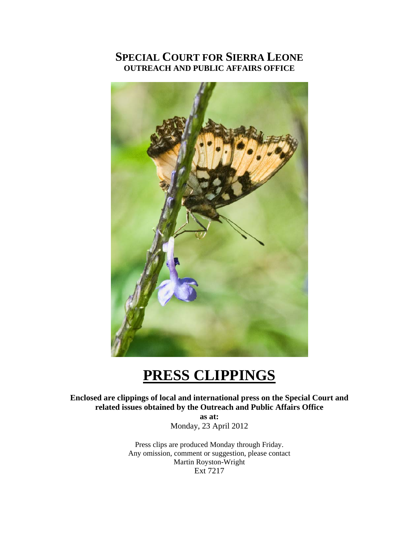## **SPECIAL COURT FOR SIERRA LEONE OUTREACH AND PUBLIC AFFAIRS OFFICE**



# **PRESS CLIPPINGS**

**Enclosed are clippings of local and international press on the Special Court and related issues obtained by the Outreach and Public Affairs Office** 

**as at:**  Monday, 23 April 2012

Press clips are produced Monday through Friday. Any omission, comment or suggestion, please contact Martin Royston-Wright Ext 7217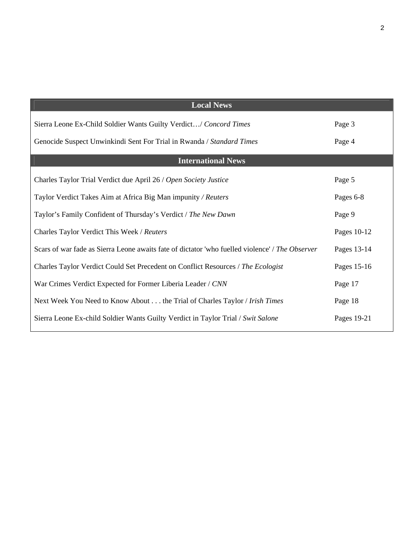| <b>Local News</b>                                                                               |             |
|-------------------------------------------------------------------------------------------------|-------------|
| Sierra Leone Ex-Child Soldier Wants Guilty Verdict/ Concord Times                               | Page 3      |
| Genocide Suspect Unwinkindi Sent For Trial in Rwanda / Standard Times                           | Page 4      |
| <b>International News</b>                                                                       |             |
| Charles Taylor Trial Verdict due April 26 / Open Society Justice                                | Page 5      |
| Taylor Verdict Takes Aim at Africa Big Man impunity / Reuters                                   | Pages 6-8   |
| Taylor's Family Confident of Thursday's Verdict / The New Dawn                                  | Page 9      |
| Charles Taylor Verdict This Week / Reuters                                                      | Pages 10-12 |
| Scars of war fade as Sierra Leone awaits fate of dictator 'who fuelled violence' / The Observer | Pages 13-14 |
| Charles Taylor Verdict Could Set Precedent on Conflict Resources / The Ecologist                | Pages 15-16 |
| War Crimes Verdict Expected for Former Liberia Leader / CNN                                     | Page 17     |
| Next Week You Need to Know About the Trial of Charles Taylor / Irish Times                      | Page 18     |
| Sierra Leone Ex-child Soldier Wants Guilty Verdict in Taylor Trial / Swit Salone                | Pages 19-21 |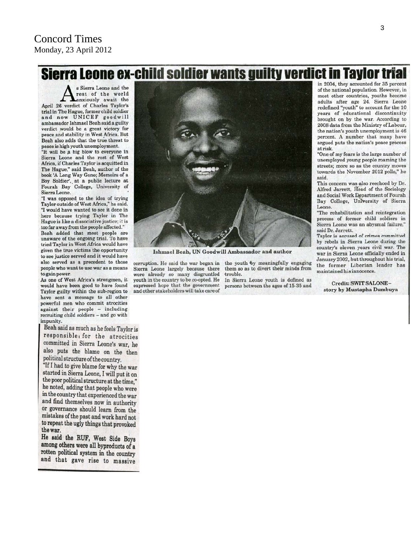## Sierra Leone ex-child soldier wants guilty verdict in Taylor to

s Sierra Leone and the rest of the world anxiously await the April 26 verdict of Charles Taylor's trial in The Hague, former child soldier and now UNICEF goodwill ambassador Ishmael Beah said a guilty verdict would be a great victory for peace and stability in West Africa. But Beah also adds that the true threat to peace is high youth unemployment.

"It will be a big blow to everyone in Sierra Leone and the rest of West Africa, if Charles Taylor is acquitted in The Hague," said Beah, author of the book 'A Long Way Gone; Memoirs of a Boy Soldier', at a public lecture at<br>Fourah Bay College, University of Sierra Leone.

"I was opposed to the idea of trying Taylor outside of West Africa," he said. "I would have wanted to see it done in here because trying Taylor in The Hague is like a dissociative justice; it is too far away from the people affected."

Beah added that most people are unaware of the ongoing trial. To have tried Taylor in West Africa would have given the true victims the opportunity to see justice served and it would have also served as a precedent to those people who want to use war as a means to gain power.

As one of West Africa's strongmen, it would have been good to have found Taylor guilty within the sub-region to have sent a message to all other powerful men who commit atrocities against their people - including recruiting child soldiers - and go with impunity.

Beah said as much as he feels Taylor is responsible, for the atrocities committed in Sierra Leone's war, he also puts the blame on the then political structure of the country.

"If I had to give blame for why the war started in Sierra Leone, I will put it on the poor political structure at the time," he noted, adding that people who were in the country that experienced the war and find themselves now in authority or governance should learn from the mistakes of the past and work hard not to repeat the ugly things that provoked the war.

He said the RUF, West Side Boys among others were all byproducts of a rotten political system in the country and that gave rise to massive



corruption. He said the war began in Sierra Leone largely because there were already so many disgruntled youth in the country to be co-opted. He expressed hope that the government and other stakeholders will take care of

the youth by meaningfully engaging them so as to divert their minds from trouble.

In Sierra Leone youth is defined as persons between the ages of 15-35 and

in 2004, they accounted for 35 percent of the national population. However, in most other countries, youths become adults after age 24. Sierra Leone redefined "youth" to account for the 10 years of educational discontinuity brought on by the war. According to 2008 data from the Ministry of Labour, the nation's youth unemployment is 46 percent. A number that many have argued puts the nation's peace process at risk.

"One of my fears is the large number of unemployed young people roaming the streets; more so as the country moves towards the November 2012 polls," he said.

This concern was also reechoed by Dr. Alfred Jarrett, Head of the Sociology and Social Work Department of Fourah Bay College, University of Sierra Leone.

"The rehabilitation and reintegration process of former child soldiers in Sierra Leone was an abysmal failure," said Dr. Jarrett.

Taylor is accused of crimes committed by rebels in Sierra Leone during the country's eleven years civil war. The war in Sierra Leone officially ended in January 2002, but throughout his trial, the former Liberian leader has maintained his innocence.

Credit: SWIT SALONEstory by Mustapha Dumbuya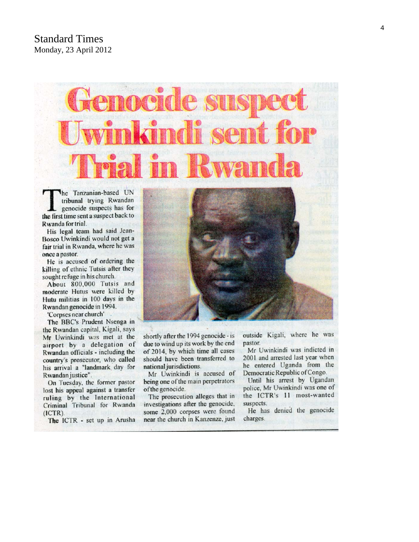Standard Times Monday, 23 April 2012



shortly after the 1994 genocide - is

due to wind up its work by the end

of 2014, by which time all cases

should have been transferred to

Mr Uwinkindi is accused of

The prosecution alleges that in

investigations after the genocide,

some 2,000 corpses were found

near the church in Kanzenze, just

being one of the main perpetrators

national jurisdictions.

of the genocide.

The Tanzanian-based UN tribunal trying Rwandan genocide suspects has for the first time sent a suspect back to Rwanda for trial.

His legal team had said Jean-Bosco Uwinkindi would not get a fair trial in Rwanda, where he was once a pastor.

He is accused of ordering the killing of ethnic Tutsis after they sought refuge in his church.

About 800,000 Tutsis and moderate Hutus were killed by Hutu militias in 100 days in the Rwandan genocide in 1994.

'Corpses near church'

The BBC's Prudent Nsenga in the Rwandan capital, Kigali, says Mr Uwinkindi was met at the airport by a delegation of Rwandan officials - including the country's prosecutor, who called his arrival a "landmark day for Rwandan justice".

On Tuesday, the former pastor lost his appeal against a transfer ruling by the International Criminal Tribunal for Rwanda  $(ICTR)$ .

The ICTR - set up in Arusha

outside Kigali, where he was

4

pastor. Mr Uwinkindi was indicted in 2001 and arrested last year when he entered Uganda from the Democratic Republic of Congo.

Until his arrest by Ugandan police, Mr Uwinkindi was one of the ICTR's 11 most-wanted suspects.

He has denied the genocide charges.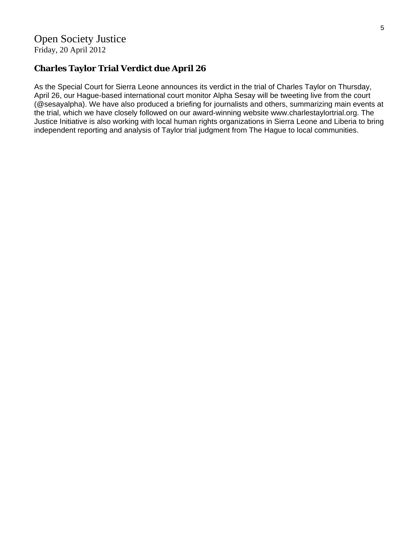#### **Charles Taylor Trial Verdict due April 26**

As the Special Court for Sierra Leone announces its verdict in the trial of Charles Taylor on Thursday, April 26, our Hague-based international court monitor Alpha Sesay will be tweeting live from the court (@sesayalpha). We have also produced a briefing for journalists and others, summarizing main events at the trial, which we have closely followed on our award-winning website www.charlestaylortrial.org. The Justice Initiative is also working with local human rights organizations in Sierra Leone and Liberia to bring independent reporting and analysis of Taylor trial judgment from The Hague to local communities.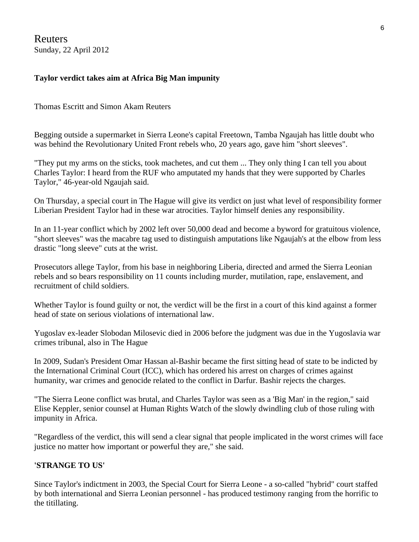Reuters Sunday, 22 April 2012

#### **Taylor verdict takes aim at Africa Big Man impunity**

Thomas Escritt and Simon Akam Reuters

Begging outside a supermarket in Sierra Leone's capital Freetown, Tamba Ngaujah has little doubt who was behind the Revolutionary United Front rebels who, 20 years ago, gave him "short sleeves".

"They put my arms on the sticks, took machetes, and cut them ... They only thing I can tell you about Charles Taylor: I heard from the RUF who amputated my hands that they were supported by Charles Taylor," 46-year-old Ngaujah said.

On Thursday, a special court in The Hague will give its verdict on just what level of responsibility former Liberian President Taylor had in these war atrocities. Taylor himself denies any responsibility.

In an 11-year conflict which by 2002 left over 50,000 dead and become a byword for gratuitous violence, "short sleeves" was the macabre tag used to distinguish amputations like Ngaujah's at the elbow from less drastic "long sleeve" cuts at the wrist.

Prosecutors allege Taylor, from his base in neighboring Liberia, directed and armed the Sierra Leonian rebels and so bears responsibility on 11 counts including murder, mutilation, rape, enslavement, and recruitment of child soldiers.

Whether Taylor is found guilty or not, the verdict will be the first in a court of this kind against a former head of state on serious violations of international law.

Yugoslav ex-leader Slobodan Milosevic died in 2006 before the judgment was due in the Yugoslavia war crimes tribunal, also in The Hague

In 2009, Sudan's President Omar Hassan al-Bashir became the first sitting head of state to be indicted by the International Criminal Court (ICC), which has ordered his arrest on charges of crimes against humanity, war crimes and genocide related to the conflict in Darfur. Bashir rejects the charges.

"The Sierra Leone conflict was brutal, and Charles Taylor was seen as a 'Big Man' in the region," said Elise Keppler, senior counsel at Human Rights Watch of the slowly dwindling club of those ruling with impunity in Africa.

"Regardless of the verdict, this will send a clear signal that people implicated in the worst crimes will face justice no matter how important or powerful they are," she said.

#### **'STRANGE TO US'**

Since Taylor's indictment in 2003, the Special Court for Sierra Leone - a so-called "hybrid" court staffed by both international and Sierra Leonian personnel - has produced testimony ranging from the horrific to the titillating.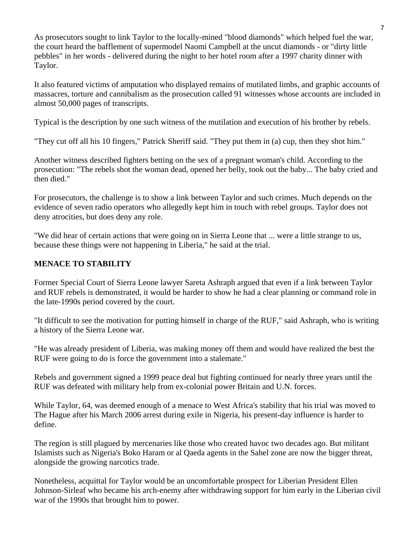As prosecutors sought to link Taylor to the locally-mined "blood diamonds" which helped fuel the war, the court heard the bafflement of supermodel Naomi Campbell at the uncut diamonds - or "dirty little pebbles" in her words - delivered during the night to her hotel room after a 1997 charity dinner with Taylor.

It also featured victims of amputation who displayed remains of mutilated limbs, and graphic accounts of massacres, torture and cannibalism as the prosecution called 91 witnesses whose accounts are included in almost 50,000 pages of transcripts.

Typical is the description by one such witness of the mutilation and execution of his brother by rebels.

"They cut off all his 10 fingers," Patrick Sheriff said. "They put them in (a) cup, then they shot him."

Another witness described fighters betting on the sex of a pregnant woman's child. According to the prosecution: "The rebels shot the woman dead, opened her belly, took out the baby... The baby cried and then died."

For prosecutors, the challenge is to show a link between Taylor and such crimes. Much depends on the evidence of seven radio operators who allegedly kept him in touch with rebel groups. Taylor does not deny atrocities, but does deny any role.

"We did hear of certain actions that were going on in Sierra Leone that ... were a little strange to us, because these things were not happening in Liberia," he said at the trial.

#### **MENACE TO STABILITY**

Former Special Court of Sierra Leone lawyer Sareta Ashraph argued that even if a link between Taylor and RUF rebels is demonstrated, it would be harder to show he had a clear planning or command role in the late-1990s period covered by the court.

"It difficult to see the motivation for putting himself in charge of the RUF," said Ashraph, who is writing a history of the Sierra Leone war.

"He was already president of Liberia, was making money off them and would have realized the best the RUF were going to do is force the government into a stalemate."

Rebels and government signed a 1999 peace deal but fighting continued for nearly three years until the RUF was defeated with military help from ex-colonial power Britain and U.N. forces.

While Taylor, 64, was deemed enough of a menace to West Africa's stability that his trial was moved to The Hague after his March 2006 arrest during exile in Nigeria, his present-day influence is harder to define.

The region is still plagued by mercenaries like those who created havoc two decades ago. But militant Islamists such as Nigeria's Boko Haram or al Qaeda agents in the Sahel zone are now the bigger threat, alongside the growing narcotics trade.

Nonetheless, acquittal for Taylor would be an uncomfortable prospect for Liberian President Ellen Johnson-Sirleaf who became his arch-enemy after withdrawing support for him early in the Liberian civil war of the 1990s that brought him to power.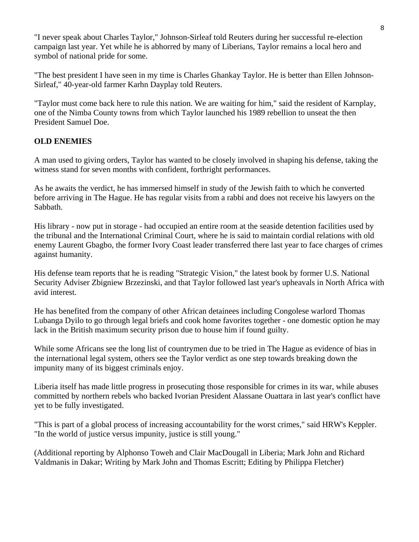"I never speak about Charles Taylor," Johnson-Sirleaf told Reuters during her successful re-election campaign last year. Yet while he is abhorred by many of Liberians, Taylor remains a local hero and symbol of national pride for some.

"The best president I have seen in my time is Charles Ghankay Taylor. He is better than Ellen Johnson-Sirleaf," 40-year-old farmer Karhn Dayplay told Reuters.

"Taylor must come back here to rule this nation. We are waiting for him," said the resident of Karnplay, one of the Nimba County towns from which Taylor launched his 1989 rebellion to unseat the then President Samuel Doe.

#### **OLD ENEMIES**

A man used to giving orders, Taylor has wanted to be closely involved in shaping his defense, taking the witness stand for seven months with confident, forthright performances.

As he awaits the verdict, he has immersed himself in study of the Jewish faith to which he converted before arriving in The Hague. He has regular visits from a rabbi and does not receive his lawyers on the Sabbath.

His library - now put in storage - had occupied an entire room at the seaside detention facilities used by the tribunal and the International Criminal Court, where he is said to maintain cordial relations with old enemy Laurent Gbagbo, the former Ivory Coast leader transferred there last year to face charges of crimes against humanity.

His defense team reports that he is reading "Strategic Vision," the latest book by former U.S. National Security Adviser Zbigniew Brzezinski, and that Taylor followed last year's upheavals in North Africa with avid interest.

He has benefited from the company of other African detainees including Congolese warlord Thomas Lubanga Dyilo to go through legal briefs and cook home favorites together - one domestic option he may lack in the British maximum security prison due to house him if found guilty.

While some Africans see the long list of countrymen due to be tried in The Hague as evidence of bias in the international legal system, others see the Taylor verdict as one step towards breaking down the impunity many of its biggest criminals enjoy.

Liberia itself has made little progress in prosecuting those responsible for crimes in its war, while abuses committed by northern rebels who backed Ivorian President Alassane Ouattara in last year's conflict have yet to be fully investigated.

"This is part of a global process of increasing accountability for the worst crimes," said HRW's Keppler. "In the world of justice versus impunity, justice is still young."

(Additional reporting by Alphonso Toweh and Clair MacDougall in Liberia; Mark John and Richard Valdmanis in Dakar; Writing by Mark John and Thomas Escritt; Editing by Philippa Fletcher)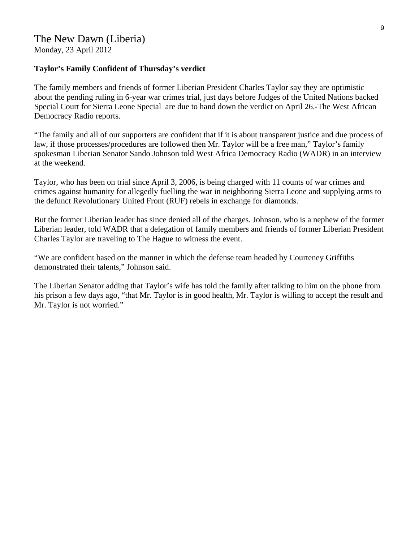Monday, 23 April 2012

#### **Taylor's Family Confident of Thursday's verdict**

The family members and friends of former Liberian President Charles Taylor say they are optimistic about the pending ruling in 6-year war crimes trial, just days before Judges of the United Nations backed Special Court for Sierra Leone Special are due to hand down the verdict on April 26.-The West African Democracy Radio reports.

"The family and all of our supporters are confident that if it is about transparent justice and due process of law, if those processes/procedures are followed then Mr. Taylor will be a free man," Taylor's family spokesman Liberian Senator Sando Johnson told West Africa Democracy Radio (WADR) in an interview at the weekend.

Taylor, who has been on trial since April 3, 2006, is being charged with 11 counts of war crimes and crimes against humanity for allegedly fuelling the war in neighboring Sierra Leone and supplying arms to the defunct Revolutionary United Front (RUF) rebels in exchange for diamonds.

But the former Liberian leader has since denied all of the charges. Johnson, who is a nephew of the former Liberian leader, told WADR that a delegation of family members and friends of former Liberian President Charles Taylor are traveling to The Hague to witness the event.

"We are confident based on the manner in which the defense team headed by Courteney Griffiths demonstrated their talents," Johnson said.

The Liberian Senator adding that Taylor's wife has told the family after talking to him on the phone from his prison a few days ago, "that Mr. Taylor is in good health, Mr. Taylor is willing to accept the result and Mr. Taylor is not worried."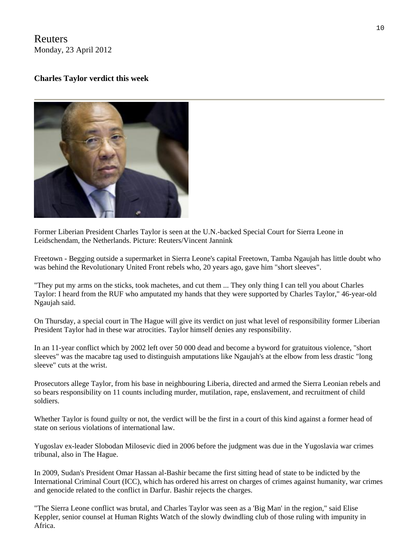Reuters Monday, 23 April 2012

#### **Charles Taylor verdict this week**



Former Liberian President Charles Taylor is seen at the U.N.-backed Special Court for Sierra Leone in Leidschendam, the Netherlands. Picture: Reuters/Vincent Jannink

Freetown - Begging outside a supermarket in Sierra Leone's capital Freetown, Tamba Ngaujah has little doubt who was behind the Revolutionary United Front rebels who, 20 years ago, gave him "short sleeves".

"They put my arms on the sticks, took machetes, and cut them ... They only thing I can tell you about Charles Taylor: I heard from the RUF who amputated my hands that they were supported by Charles Taylor," 46-year-old Ngaujah said.

On Thursday, a special court in The Hague will give its verdict on just what level of responsibility former Liberian President Taylor had in these war atrocities. Taylor himself denies any responsibility.

In an 11-year conflict which by 2002 left over 50 000 dead and become a byword for gratuitous violence, "short sleeves" was the macabre tag used to distinguish amputations like Ngaujah's at the elbow from less drastic "long sleeve" cuts at the wrist.

Prosecutors allege Taylor, from his base in neighbouring Liberia, directed and armed the Sierra Leonian rebels and so bears responsibility on 11 counts including murder, mutilation, rape, enslavement, and recruitment of child soldiers.

Whether Taylor is found guilty or not, the verdict will be the first in a court of this kind against a former head of state on serious violations of international law.

Yugoslav ex-leader Slobodan Milosevic died in 2006 before the judgment was due in the Yugoslavia war crimes tribunal, also in The Hague.

In 2009, Sudan's President Omar Hassan al-Bashir became the first sitting head of state to be indicted by the International Criminal Court (ICC), which has ordered his arrest on charges of crimes against humanity, war crimes and genocide related to the conflict in Darfur. Bashir rejects the charges.

"The Sierra Leone conflict was brutal, and Charles Taylor was seen as a 'Big Man' in the region," said Elise Keppler, senior counsel at Human Rights Watch of the slowly dwindling club of those ruling with impunity in Africa.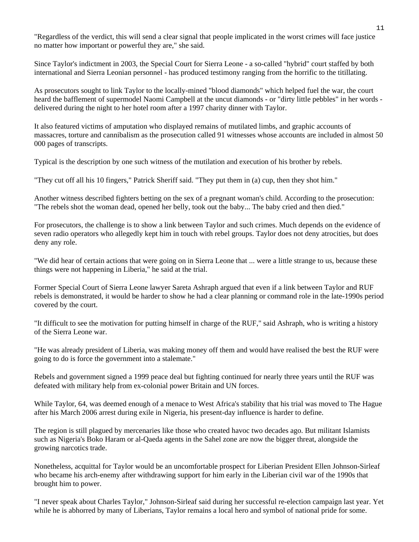"Regardless of the verdict, this will send a clear signal that people implicated in the worst crimes will face justice no matter how important or powerful they are," she said.

Since Taylor's indictment in 2003, the Special Court for Sierra Leone - a so-called "hybrid" court staffed by both international and Sierra Leonian personnel - has produced testimony ranging from the horrific to the titillating.

As prosecutors sought to link Taylor to the locally-mined "blood diamonds" which helped fuel the war, the court heard the bafflement of supermodel Naomi Campbell at the uncut diamonds - or "dirty little pebbles" in her words delivered during the night to her hotel room after a 1997 charity dinner with Taylor.

It also featured victims of amputation who displayed remains of mutilated limbs, and graphic accounts of massacres, torture and cannibalism as the prosecution called 91 witnesses whose accounts are included in almost 50 000 pages of transcripts.

Typical is the description by one such witness of the mutilation and execution of his brother by rebels.

"They cut off all his 10 fingers," Patrick Sheriff said. "They put them in (a) cup, then they shot him."

Another witness described fighters betting on the sex of a pregnant woman's child. According to the prosecution: "The rebels shot the woman dead, opened her belly, took out the baby... The baby cried and then died."

For prosecutors, the challenge is to show a link between Taylor and such crimes. Much depends on the evidence of seven radio operators who allegedly kept him in touch with rebel groups. Taylor does not deny atrocities, but does deny any role.

"We did hear of certain actions that were going on in Sierra Leone that ... were a little strange to us, because these things were not happening in Liberia," he said at the trial.

Former Special Court of Sierra Leone lawyer Sareta Ashraph argued that even if a link between Taylor and RUF rebels is demonstrated, it would be harder to show he had a clear planning or command role in the late-1990s period covered by the court.

"It difficult to see the motivation for putting himself in charge of the RUF," said Ashraph, who is writing a history of the Sierra Leone war.

"He was already president of Liberia, was making money off them and would have realised the best the RUF were going to do is force the government into a stalemate."

Rebels and government signed a 1999 peace deal but fighting continued for nearly three years until the RUF was defeated with military help from ex-colonial power Britain and UN forces.

While Taylor, 64, was deemed enough of a menace to West Africa's stability that his trial was moved to The Hague after his March 2006 arrest during exile in Nigeria, his present-day influence is harder to define.

The region is still plagued by mercenaries like those who created havoc two decades ago. But militant Islamists such as Nigeria's Boko Haram or al-Qaeda agents in the Sahel zone are now the bigger threat, alongside the growing narcotics trade.

Nonetheless, acquittal for Taylor would be an uncomfortable prospect for Liberian President Ellen Johnson-Sirleaf who became his arch-enemy after withdrawing support for him early in the Liberian civil war of the 1990s that brought him to power.

"I never speak about Charles Taylor," Johnson-Sirleaf said during her successful re-election campaign last year. Yet while he is abhorred by many of Liberians, Taylor remains a local hero and symbol of national pride for some.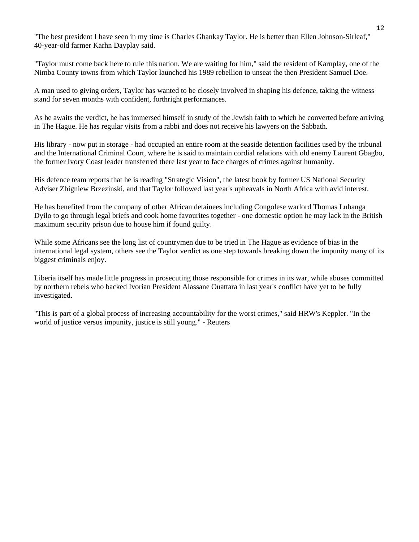"The best president I have seen in my time is Charles Ghankay Taylor. He is better than Ellen Johnson-Sirleaf," 40-year-old farmer Karhn Dayplay said.

"Taylor must come back here to rule this nation. We are waiting for him," said the resident of Karnplay, one of the Nimba County towns from which Taylor launched his 1989 rebellion to unseat the then President Samuel Doe.

A man used to giving orders, Taylor has wanted to be closely involved in shaping his defence, taking the witness stand for seven months with confident, forthright performances.

As he awaits the verdict, he has immersed himself in study of the Jewish faith to which he converted before arriving in The Hague. He has regular visits from a rabbi and does not receive his lawyers on the Sabbath.

His library - now put in storage - had occupied an entire room at the seaside detention facilities used by the tribunal and the International Criminal Court, where he is said to maintain cordial relations with old enemy Laurent Gbagbo, the former Ivory Coast leader transferred there last year to face charges of crimes against humanity.

His defence team reports that he is reading "Strategic Vision", the latest book by former US National Security Adviser Zbigniew Brzezinski, and that Taylor followed last year's upheavals in North Africa with avid interest.

He has benefited from the company of other African detainees including Congolese warlord Thomas Lubanga Dyilo to go through legal briefs and cook home favourites together - one domestic option he may lack in the British maximum security prison due to house him if found guilty.

While some Africans see the long list of countrymen due to be tried in The Hague as evidence of bias in the international legal system, others see the Taylor verdict as one step towards breaking down the impunity many of its biggest criminals enjoy.

Liberia itself has made little progress in prosecuting those responsible for crimes in its war, while abuses committed by northern rebels who backed Ivorian President Alassane Ouattara in last year's conflict have yet to be fully investigated.

"This is part of a global process of increasing accountability for the worst crimes," said HRW's Keppler. "In the world of justice versus impunity, justice is still young." - Reuters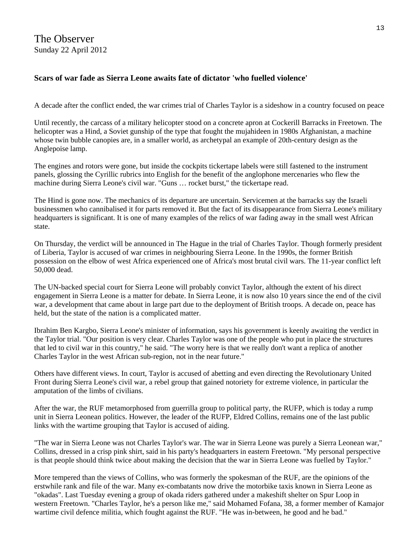#### **Scars of war fade as Sierra Leone awaits fate of dictator 'who fuelled violence'**

A decade after the conflict ended, the war crimes trial of Charles Taylor is a sideshow in a country focused on peace

Until recently, the carcass of a military helicopter stood on a concrete apron at Cockerill Barracks in Freetown. The helicopter was a Hind, a Soviet gunship of the type that fought the mujahideen in 1980s Afghanistan, a machine whose twin bubble canopies are, in a smaller world, as archetypal an example of 20th-century design as the Anglepoise lamp.

The engines and rotors were gone, but inside the cockpits tickertape labels were still fastened to the instrument panels, glossing the Cyrillic rubrics into English for the benefit of the anglophone mercenaries who flew the machine during Sierra Leone's civil war. "Guns … rocket burst," the tickertape read.

The Hind is gone now. The mechanics of its departure are uncertain. Servicemen at the barracks say the Israeli businessmen who cannibalised it for parts removed it. But the fact of its disappearance from Sierra Leone's military headquarters is significant. It is one of many examples of the relics of war fading away in the small west African state.

On Thursday, the verdict will be announced in The Hague in the trial of Charles Taylor. Though formerly president of Liberia, Taylor is accused of war crimes in neighbouring Sierra Leone. In the 1990s, the former British possession on the elbow of west Africa experienced one of Africa's most brutal civil wars. The 11-year conflict left 50,000 dead.

The UN-backed special court for Sierra Leone will probably convict Taylor, although the extent of his direct engagement in Sierra Leone is a matter for debate. In Sierra Leone, it is now also 10 years since the end of the civil war, a development that came about in large part due to the deployment of British troops. A decade on, peace has held, but the state of the nation is a complicated matter.

Ibrahim Ben Kargbo, Sierra Leone's minister of information, says his government is keenly awaiting the verdict in the Taylor trial. "Our position is very clear. Charles Taylor was one of the people who put in place the structures that led to civil war in this country," he said. "The worry here is that we really don't want a replica of another Charles Taylor in the west African sub-region, not in the near future."

Others have different views. In court, Taylor is accused of abetting and even directing the Revolutionary United Front during Sierra Leone's civil war, a rebel group that gained notoriety for extreme violence, in particular the amputation of the limbs of civilians.

After the war, the RUF metamorphosed from guerrilla group to political party, the RUFP, which is today a rump unit in Sierra Leonean politics. However, the leader of the RUFP, Eldred Collins, remains one of the last public links with the wartime grouping that Taylor is accused of aiding.

"The war in Sierra Leone was not Charles Taylor's war. The war in Sierra Leone was purely a Sierra Leonean war," Collins, dressed in a crisp pink shirt, said in his party's headquarters in eastern Freetown. "My personal perspective is that people should think twice about making the decision that the war in Sierra Leone was fuelled by Taylor."

More tempered than the views of Collins, who was formerly the spokesman of the RUF, are the opinions of the erstwhile rank and file of the war. Many ex-combatants now drive the motorbike taxis known in Sierra Leone as "okadas". Last Tuesday evening a group of okada riders gathered under a makeshift shelter on Spur Loop in western Freetown. "Charles Taylor, he's a person like me," said Mohamed Fofana, 38, a former member of Kamajor wartime civil defence militia, which fought against the RUF. "He was in-between, he good and he bad."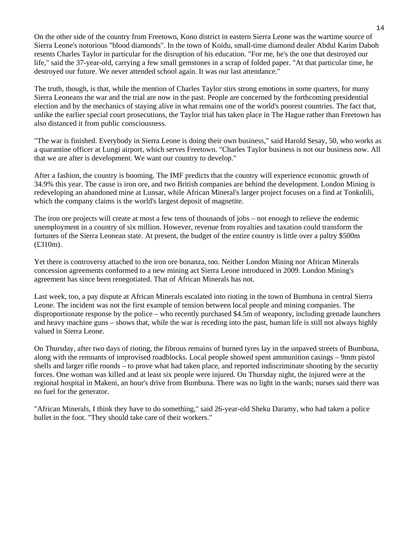On the other side of the country from Freetown, Kono district in eastern Sierra Leone was the wartime source of Sierra Leone's notorious "blood diamonds". In the town of Koidu, small-time diamond dealer Abdul Karim Daboh resents Charles Taylor in particular for the disruption of his education. "For me, he's the one that destroyed our life," said the 37-year-old, carrying a few small gemstones in a scrap of folded paper. "At that particular time, he destroyed our future. We never attended school again. It was our last attendance."

The truth, though, is that, while the mention of Charles Taylor stirs strong emotions in some quarters, for many Sierra Leoneans the war and the trial are now in the past. People are concerned by the forthcoming presidential election and by the mechanics of staying alive in what remains one of the world's poorest countries. The fact that, unlike the earlier special court prosecutions, the Taylor trial has taken place in The Hague rather than Freetown has also distanced it from public consciousness.

"The war is finished. Everybody in Sierra Leone is doing their own business," said Harold Sesay, 50, who works as a quarantine officer at Lungi airport, which serves Freetown. "Charles Taylor business is not our business now. All that we are after is development. We want our country to develop."

After a fashion, the country is booming. The IMF predicts that the country will experience economic growth of 34.9% this year. The cause is iron ore, and two British companies are behind the development. London Mining is redeveloping an abandoned mine at Lunsar, while African Mineral's larger project focuses on a find at Tonkolili, which the company claims is the world's largest deposit of magnetite.

The iron ore projects will create at most a few tens of thousands of jobs – not enough to relieve the endemic unemployment in a country of six million. However, revenue from royalties and taxation could transform the fortunes of the Sierra Leonean state. At present, the budget of the entire country is little over a paltry \$500m (£310m).

Yet there is controversy attached to the iron ore bonanza, too. Neither London Mining nor African Minerals concession agreements conformed to a new mining act Sierra Leone introduced in 2009. London Mining's agreement has since been renegotiated. That of African Minerals has not.

Last week, too, a pay dispute at African Minerals escalated into rioting in the town of Bumbuna in central Sierra Leone. The incident was not the first example of tension between local people and mining companies. The disproportionate response by the police – who recently purchased \$4.5m of weaponry, including grenade launchers and heavy machine guns – shows that, while the war is receding into the past, human life is still not always highly valued in Sierra Leone.

On Thursday, after two days of rioting, the fibrous remains of burned tyres lay in the unpaved streets of Bumbuna, along with the remnants of improvised roadblocks. Local people showed spent ammunition casings – 9mm pistol shells and larger rifle rounds – to prove what had taken place, and reported indiscriminate shooting by the security forces. One woman was killed and at least six people were injured. On Thursday night, the injured were at the regional hospital in Makeni, an hour's drive from Bumbuna. There was no light in the wards; nurses said there was no fuel for the generator.

"African Minerals, I think they have to do something," said 26-year-old Sheku Daramy, who had taken a police bullet in the foot. "They should take care of their workers."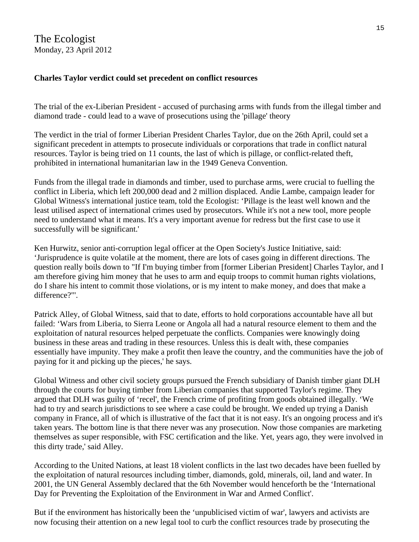#### **Charles Taylor verdict could set precedent on conflict resources**

The trial of the ex-Liberian President - accused of purchasing arms with funds from the illegal timber and diamond trade - could lead to a wave of prosecutions using the 'pillage' theory

The verdict in the trial of former Liberian President Charles Taylor, due on the 26th April, could set a significant precedent in attempts to prosecute individuals or corporations that trade in conflict natural resources. Taylor is being tried on 11 counts, the last of which is pillage, or conflict-related theft, prohibited in international humanitarian law in the 1949 Geneva Convention.

Funds from the illegal trade in diamonds and timber, used to purchase arms, were crucial to fuelling the conflict in Liberia, which left 200,000 dead and 2 million displaced. Andie Lambe, campaign leader for Global Witness's international justice team, told the Ecologist: 'Pillage is the least well known and the least utilised aspect of international crimes used by prosecutors. While it's not a new tool, more people need to understand what it means. It's a very important avenue for redress but the first case to use it successfully will be significant.'

Ken Hurwitz, senior anti-corruption legal officer at the Open Society's Justice Initiative, said: 'Jurisprudence is quite volatile at the moment, there are lots of cases going in different directions. The question really boils down to "If I'm buying timber from [former Liberian President] Charles Taylor, and I am therefore giving him money that he uses to arm and equip troops to commit human rights violations, do I share his intent to commit those violations, or is my intent to make money, and does that make a difference?"'.

Patrick Alley, of Global Witness, said that to date, efforts to hold corporations accountable have all but failed: 'Wars from Liberia, to Sierra Leone or Angola all had a natural resource element to them and the exploitation of natural resources helped perpetuate the conflicts. Companies were knowingly doing business in these areas and trading in these resources. Unless this is dealt with, these companies essentially have impunity. They make a profit then leave the country, and the communities have the job of paying for it and picking up the pieces,' he says.

Global Witness and other civil society groups pursued the French subsidiary of Danish timber giant DLH through the courts for buying timber from Liberian companies that supported Taylor's regime. They argued that DLH was guilty of 'recel', the French crime of profiting from goods obtained illegally. 'We had to try and search jurisdictions to see where a case could be brought. We ended up trying a Danish company in France, all of which is illustrative of the fact that it is not easy. It's an ongoing process and it's taken years. The bottom line is that there never was any prosecution. Now those companies are marketing themselves as super responsible, with FSC certification and the like. Yet, years ago, they were involved in this dirty trade,' said Alley.

According to the United Nations, at least 18 violent conflicts in the last two decades have been fuelled by the exploitation of natural resources including timber, diamonds, gold, minerals, oil, land and water. In 2001, the UN General Assembly declared that the 6th November would henceforth be the 'International Day for Preventing the Exploitation of the Environment in War and Armed Conflict'.

But if the environment has historically been the 'unpublicised victim of war', lawyers and activists are now focusing their attention on a new legal tool to curb the conflict resources trade by prosecuting the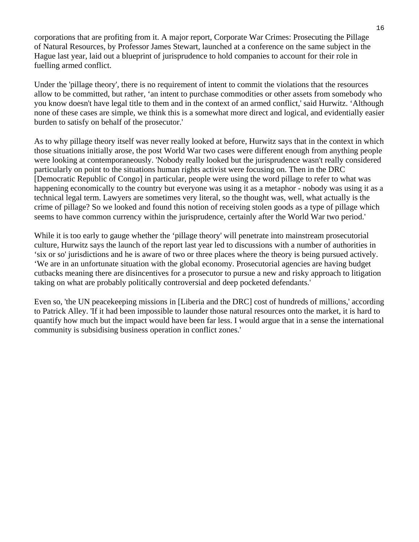corporations that are profiting from it. A major report, Corporate War Crimes: Prosecuting the Pillage of Natural Resources, by Professor James Stewart, launched at a conference on the same subject in the Hague last year, laid out a blueprint of jurisprudence to hold companies to account for their role in fuelling armed conflict.

Under the 'pillage theory', there is no requirement of intent to commit the violations that the resources allow to be committed, but rather, 'an intent to purchase commodities or other assets from somebody who you know doesn't have legal title to them and in the context of an armed conflict,' said Hurwitz. 'Although none of these cases are simple, we think this is a somewhat more direct and logical, and evidentially easier burden to satisfy on behalf of the prosecutor.'

As to why pillage theory itself was never really looked at before, Hurwitz says that in the context in which those situations initially arose, the post World War two cases were different enough from anything people were looking at contemporaneously. 'Nobody really looked but the jurisprudence wasn't really considered particularly on point to the situations human rights activist were focusing on. Then in the DRC [Democratic Republic of Congo] in particular, people were using the word pillage to refer to what was happening economically to the country but everyone was using it as a metaphor - nobody was using it as a technical legal term. Lawyers are sometimes very literal, so the thought was, well, what actually is the crime of pillage? So we looked and found this notion of receiving stolen goods as a type of pillage which seems to have common currency within the jurisprudence, certainly after the World War two period.'

While it is too early to gauge whether the 'pillage theory' will penetrate into mainstream prosecutorial culture, Hurwitz says the launch of the report last year led to discussions with a number of authorities in 'six or so' jurisdictions and he is aware of two or three places where the theory is being pursued actively. 'We are in an unfortunate situation with the global economy. Prosecutorial agencies are having budget cutbacks meaning there are disincentives for a prosecutor to pursue a new and risky approach to litigation taking on what are probably politically controversial and deep pocketed defendants.'

Even so, 'the UN peacekeeping missions in [Liberia and the DRC] cost of hundreds of millions,' according to Patrick Alley. 'If it had been impossible to launder those natural resources onto the market, it is hard to quantify how much but the impact would have been far less. I would argue that in a sense the international community is subsidising business operation in conflict zones.'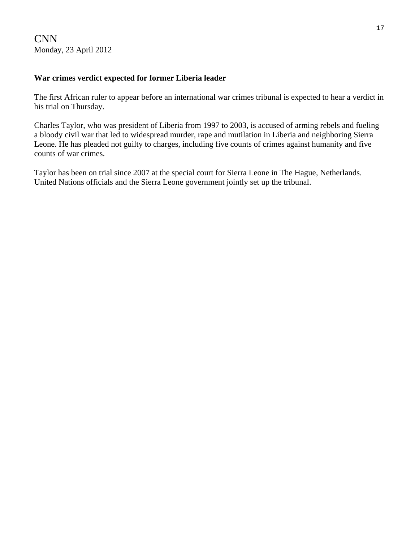#### **War crimes verdict expected for former Liberia leader**

The first African ruler to appear before an international war crimes tribunal is expected to hear a verdict in his trial on Thursday.

Charles Taylor, who was president of Liberia from 1997 to 2003, is accused of arming rebels and fueling a bloody civil war that led to widespread murder, rape and mutilation in Liberia and neighboring Sierra Leone. He has pleaded not guilty to charges, including five counts of crimes against humanity and five counts of war crimes.

Taylor has been on trial since 2007 at the special court for Sierra Leone in The Hague, Netherlands. United Nations officials and the Sierra Leone government jointly set up the tribunal.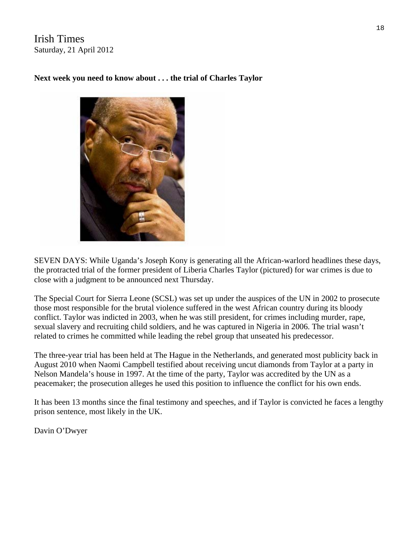Irish Times Saturday, 21 April 2012

#### **Next week you need to know about . . . the trial of Charles Taylor**



SEVEN DAYS: While Uganda's Joseph Kony is generating all the African-warlord headlines these days, the protracted trial of the former president of Liberia Charles Taylor (pictured) for war crimes is due to close with a judgment to be announced next Thursday.

The Special Court for Sierra Leone (SCSL) was set up under the auspices of the UN in 2002 to prosecute those most responsible for the brutal violence suffered in the west African country during its bloody conflict. Taylor was indicted in 2003, when he was still president, for crimes including murder, rape, sexual slavery and recruiting child soldiers, and he was captured in Nigeria in 2006. The trial wasn't related to crimes he committed while leading the rebel group that unseated his predecessor.

The three-year trial has been held at The Hague in the Netherlands, and generated most publicity back in August 2010 when Naomi Campbell testified about receiving uncut diamonds from Taylor at a party in Nelson Mandela's house in 1997. At the time of the party, Taylor was accredited by the UN as a peacemaker; the prosecution alleges he used this position to influence the conflict for his own ends.

It has been 13 months since the final testimony and speeches, and if Taylor is convicted he faces a lengthy prison sentence, most likely in the UK.

Davin O'Dwyer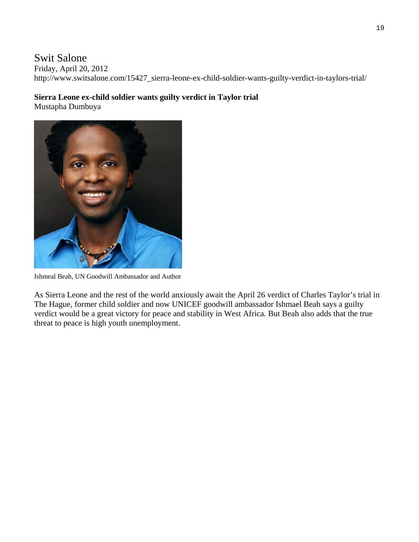### Swit Salone

Friday, April 20, 2012 http://www.switsalone.com/15427\_sierra-leone-ex-child-soldier-wants-guilty-verdict-in-taylors-trial/

## **Sierra Leone ex-child soldier wants guilty verdict in Taylor trial**

Mustapha Dumbuya



Ishmeal Beah, UN Goodwill Ambassador and Author

As Sierra Leone and the rest of the world anxiously await the April 26 verdict of Charles Taylor's trial in The Hague, former child soldier and now UNICEF goodwill ambassador Ishmael Beah says a guilty verdict would be a great victory for peace and stability in West Africa. But Beah also adds that the true threat to peace is high youth unemployment.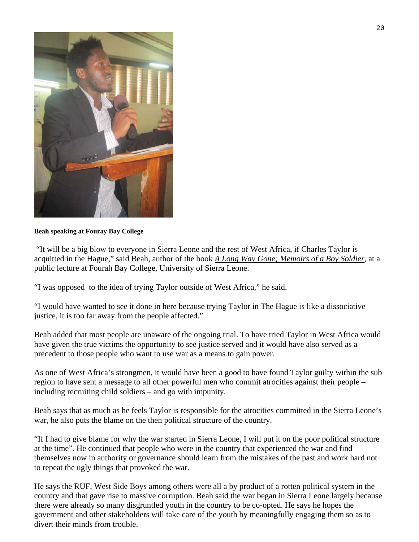

**Beah speaking at Fouray Bay College** 

 "It will be a big blow to everyone in Sierra Leone and the rest of West Africa, if Charles Taylor is acquitted in the Hague," said Beah, author of the book *A Long Way Gone; Memoirs of a Boy Soldier*, at a public lecture at Fourah Bay College, University of Sierra Leone.

"I was opposed to the idea of trying Taylor outside of West Africa," he said.

"I would have wanted to see it done in here because trying Taylor in The Hague is like a dissociative justice, it is too far away from the people affected."

Beah added that most people are unaware of the ongoing trial. To have tried Taylor in West Africa would have given the true victims the opportunity to see justice served and it would have also served as a precedent to those people who want to use war as a means to gain power.

As one of West Africa's strongmen, it would have been a good to have found Taylor guilty within the sub region to have sent a message to all other powerful men who commit atrocities against their people – including recruiting child soldiers – and go with impunity.

Beah says that as much as he feels Taylor is responsible for the atrocities committed in the Sierra Leone's war, he also puts the blame on the then political structure of the country.

"If I had to give blame for why the war started in Sierra Leone, I will put it on the poor political structure at the time". He continued that people who were in the country that experienced the war and find themselves now in authority or governance should learn from the mistakes of the past and work hard not to repeat the ugly things that provoked the war.

He says the RUF, West Side Boys among others were all a by product of a rotten political system in the country and that gave rise to massive corruption. Beah said the war began in Sierra Leone largely because there were already so many disgruntled youth in the country to be co-opted. He says he hopes the government and other stakeholders will take care of the youth by meaningfully engaging them so as to divert their minds from trouble.